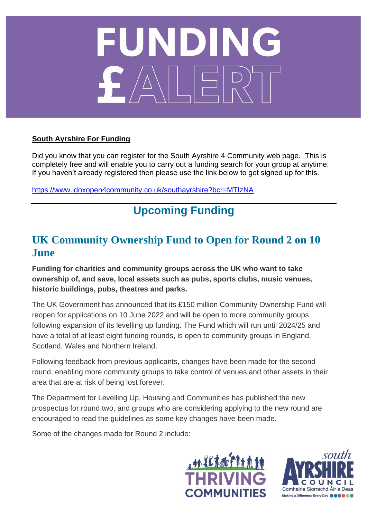# FUNDING

# **South Ayrshire For Funding**

Did you know that you can register for the South Ayrshire 4 Community web page. This is completely free and will enable you to carry out a funding search for your group at anytime. If you haven't already registered then please use the link below to get signed up for this.

<https://www.idoxopen4community.co.uk/southayrshire?bcr=MTIzNA>

# **Upcoming Funding**

# **UK Community Ownership Fund to Open for Round 2 on 10 June**

**Funding for charities and community groups across the UK who want to take ownership of, and save, local assets such as pubs, sports clubs, music venues, historic buildings, pubs, theatres and parks.**

The UK Government has announced that its £150 million Community Ownership Fund will reopen for applications on 10 June 2022 and will be open to more community groups following expansion of its levelling up funding. The Fund which will run until 2024/25 and have a total of at least eight funding rounds, is open to community groups in England, Scotland, Wales and Northern Ireland.

Following feedback from previous applicants, changes have been made for the second round, enabling more community groups to take control of venues and other assets in their area that are at risk of being lost forever.

The Department for Levelling Up, Housing and Communities has published the new prospectus for round two, and groups who are considering applying to the new round are encouraged to read the guidelines as some key changes have been made.

Some of the changes made for Round 2 include:



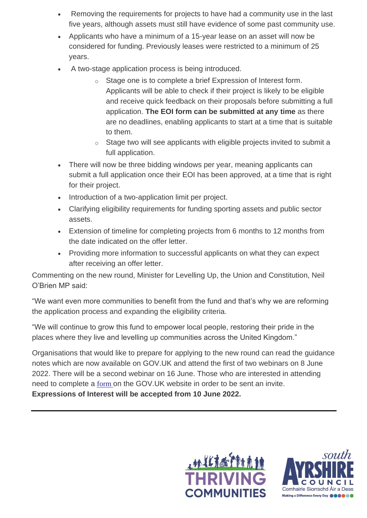- Removing the requirements for projects to have had a community use in the last five years, although assets must still have evidence of some past community use.
- Applicants who have a minimum of a 15-year lease on an asset will now be considered for funding. Previously leases were restricted to a minimum of 25 years.
- A two-stage application process is being introduced.
	- o Stage one is to complete a brief Expression of Interest form. Applicants will be able to check if their project is likely to be eligible and receive quick feedback on their proposals before submitting a full application. **The EOI form can be submitted at any time** as there are no deadlines, enabling applicants to start at a time that is suitable to them.
	- o Stage two will see applicants with eligible projects invited to submit a full application.
- There will now be three bidding windows per year, meaning applicants can submit a full application once their EOI has been approved, at a time that is right for their project.
- Introduction of a two-application limit per project.
- Clarifying eligibility requirements for funding sporting assets and public sector assets.
- Extension of timeline for completing projects from 6 months to 12 months from the date indicated on the offer letter.
- Providing more information to successful applicants on what they can expect after receiving an offer letter.

Commenting on the new round, Minister for Levelling Up, the Union and Constitution, Neil O'Brien MP said:

"We want even more communities to benefit from the fund and that's why we are reforming the application process and expanding the eligibility criteria.

"We will continue to grow this fund to empower local people, restoring their pride in the places where they live and levelling up communities across the United Kingdom."

Organisations that would like to prepare for applying to the new round can read the guidance notes which are now available on GOV.UK and attend the first of two webinars on 8 June 2022. There will be a second webinar on 16 June. Those who are interested in attending need to complete a [form](https://forms.office.com/pages/responsepage.aspx?id=EGg0v32c3kOociSi7zmVqLXwFDTckQdPuyZtS-lNwH5UMFRUNTlMWEcyQzBNNUxRNkpSMVZONElOOC4u) on the GOV.UK website in order to be sent an invite. **Expressions of Interest will be accepted from 10 June 2022.**



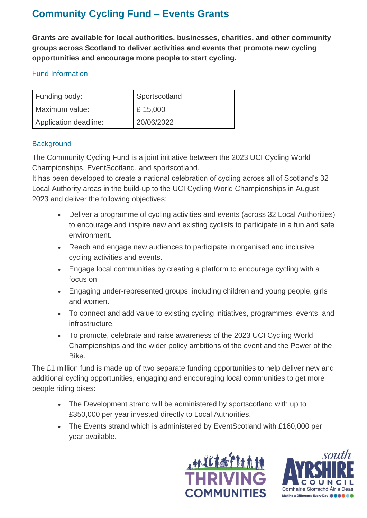# **Community Cycling Fund – Events Grants**

**Grants are available for local authorities, businesses, charities, and other community groups across Scotland to deliver activities and events that promote new cycling opportunities and encourage more people to start cycling.**

## Fund Information

| <b>Funding body:</b>  | Sportscotland |
|-----------------------|---------------|
| Maximum value:        | £15,000       |
| Application deadline: | 20/06/2022    |

## **Background**

The Community Cycling Fund is a joint initiative between the 2023 UCI Cycling World Championships, EventScotland, and sportscotland.

It has been developed to create a national celebration of cycling across all of Scotland's 32 Local Authority areas in the build-up to the UCI Cycling World Championships in August 2023 and deliver the following objectives:

- Deliver a programme of cycling activities and events (across 32 Local Authorities) to encourage and inspire new and existing cyclists to participate in a fun and safe environment.
- Reach and engage new audiences to participate in organised and inclusive cycling activities and events.
- Engage local communities by creating a platform to encourage cycling with a focus on
- Engaging under-represented groups, including children and young people, girls and women.
- To connect and add value to existing cycling initiatives, programmes, events, and infrastructure.
- To promote, celebrate and raise awareness of the 2023 UCI Cycling World Championships and the wider policy ambitions of the event and the Power of the Bike.

The £1 million fund is made up of two separate funding opportunities to help deliver new and additional cycling opportunities, engaging and encouraging local communities to get more people riding bikes:

- The Development strand will be administered by sportscotland with up to £350,000 per year invested directly to Local Authorities.
- The Events strand which is administered by EventScotland with £160,000 per year available.



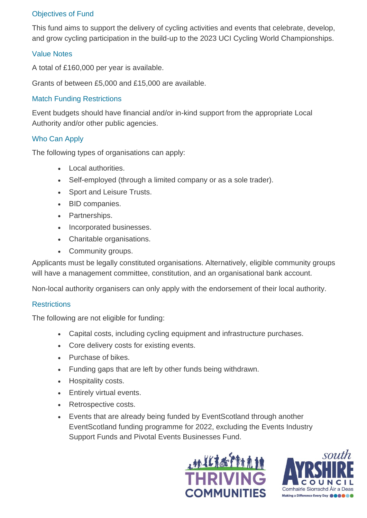## Objectives of Fund

This fund aims to support the delivery of cycling activities and events that celebrate, develop, and grow cycling participation in the build-up to the 2023 UCI Cycling World Championships.

#### Value Notes

A total of £160,000 per year is available.

Grants of between £5,000 and £15,000 are available.

## Match Funding Restrictions

Event budgets should have financial and/or in-kind support from the appropriate Local Authority and/or other public agencies.

#### Who Can Apply

The following types of organisations can apply:

- Local authorities.
- Self-employed (through a limited company or as a sole trader).
- Sport and Leisure Trusts.
- BID companies.
- Partnerships.
- Incorporated businesses.
- Charitable organisations.
- Community groups.

Applicants must be legally constituted organisations. Alternatively, eligible community groups will have a management committee, constitution, and an organisational bank account.

Non-local authority organisers can only apply with the endorsement of their local authority.

### **Restrictions**

The following are not eligible for funding:

- Capital costs, including cycling equipment and infrastructure purchases.
- Core delivery costs for existing events.
- Purchase of bikes.
- Funding gaps that are left by other funds being withdrawn.
- Hospitality costs.
- Entirely virtual events.
- Retrospective costs.
- Events that are already being funded by EventScotland through another EventScotland funding programme for 2022, excluding the Events Industry Support Funds and Pivotal Events Businesses Fund.



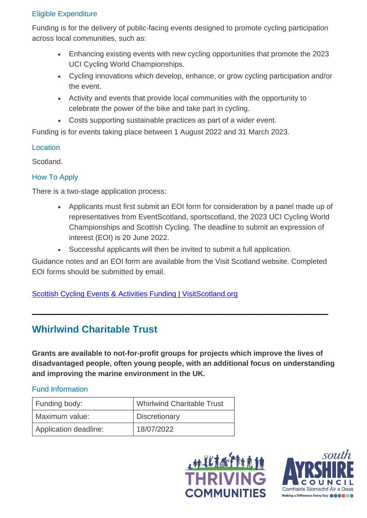## Eligible Expenditure

Funding is for the delivery of public-facing events designed to promote cycling participation across local communities, such as:

- Enhancing existing events with new cycling opportunities that promote the 2023 UCI Cycling World Championships.
- Cycling innovations which develop, enhance, or grow cycling participation and/or the event.
- Activity and events that provide local communities with the opportunity to celebrate the power of the bike and take part in cycling.
- Costs supporting sustainable practices as part of a wider event.

Funding is for events taking place between 1 August 2022 and 31 March 2023.

## **Location**

Scotland.

## How To Apply

There is a two-stage application process:

- Applicants must first submit an EOI form for consideration by a panel made up of representatives from EventScotland, sportscotland, the 2023 UCI Cycling World Championships and Scottish Cycling. The deadline to submit an expression of interest (EOI) is 20 June 2022.
- Successful applicants will then be invited to submit a full application.

Guidance notes and an EOI form are available from the Visit Scotland website. Completed EOI forms should be submitted by email.

**\_\_\_\_\_\_\_\_\_\_\_\_\_\_\_\_\_\_\_\_\_\_\_\_\_\_\_\_\_\_\_\_\_\_\_\_\_\_\_\_\_\_\_\_\_\_\_\_\_\_\_\_\_\_\_\_\_\_\_\_\_\_\_\_\_\_\_\_\_\_\_\_**

## [Scottish Cycling Events & Activities Funding | VisitScotland.org](https://www.visitscotland.org/events/funding/community-cycling-fund)

# **Whirlwind Charitable Trust**

**Grants are available to not-for-profit groups for projects which improve the lives of disadvantaged people, often young people, with an additional focus on understanding and improving the marine environment in the UK.**

### Fund Information

| Funding body:         | <b>Whirlwind Charitable Trust</b> |
|-----------------------|-----------------------------------|
| Maximum value:        | <b>Discretionary</b>              |
| Application deadline: | 18/07/2022                        |



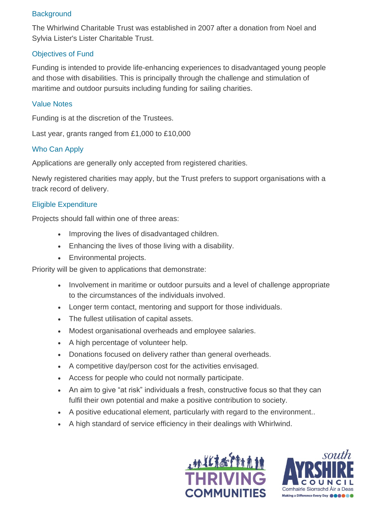### **Background**

The Whirlwind Charitable Trust was established in 2007 after a donation from Noel and Sylvia Lister's Lister Charitable Trust.

## Objectives of Fund

Funding is intended to provide life-enhancing experiences to disadvantaged young people and those with disabilities. This is principally through the challenge and stimulation of maritime and outdoor pursuits including funding for sailing charities.

## Value Notes

Funding is at the discretion of the Trustees.

Last year, grants ranged from £1,000 to £10,000

## Who Can Apply

Applications are generally only accepted from registered charities.

Newly registered charities may apply, but the Trust prefers to support organisations with a track record of delivery.

## Eligible Expenditure

Projects should fall within one of three areas:

- Improving the lives of disadvantaged children.
- Enhancing the lives of those living with a disability.
- Environmental projects.

Priority will be given to applications that demonstrate:

- Involvement in maritime or outdoor pursuits and a level of challenge appropriate to the circumstances of the individuals involved.
- Longer term contact, mentoring and support for those individuals.
- The fullest utilisation of capital assets.
- Modest organisational overheads and employee salaries.
- A high percentage of volunteer help.
- Donations focused on delivery rather than general overheads.
- A competitive day/person cost for the activities envisaged.
- Access for people who could not normally participate.
- An aim to give "at risk" individuals a fresh, constructive focus so that they can fulfil their own potential and make a positive contribution to society.
- A positive educational element, particularly with regard to the environment..
- A high standard of service efficiency in their dealings with Whirlwind.



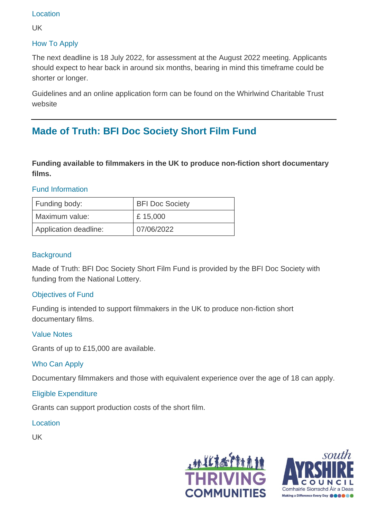#### Location

UK

## How To Apply

The next deadline is 18 July 2022, for assessment at the August 2022 meeting. Applicants should expect to hear back in around six months, bearing in mind this timeframe could be shorter or longer.

Guidelines and an online application form can be found on the Whirlwind Charitable Trust website

# **Made of Truth: BFI Doc Society Short Film Fund**

**Funding available to filmmakers in the UK to produce non-fiction short documentary films.**

## Fund Information

| Funding body:         | <b>BFI Doc Society</b> |
|-----------------------|------------------------|
| Maximum value:        | £15,000                |
| Application deadline: | 07/06/2022             |

## **Background**

Made of Truth: BFI Doc Society Short Film Fund is provided by the BFI Doc Society with funding from the National Lottery.

## Objectives of Fund

Funding is intended to support filmmakers in the UK to produce non-fiction short documentary films.

### Value Notes

Grants of up to £15,000 are available.

### Who Can Apply

Documentary filmmakers and those with equivalent experience over the age of 18 can apply.

### Eligible Expenditure

Grants can support production costs of the short film.

### **Location**

UK



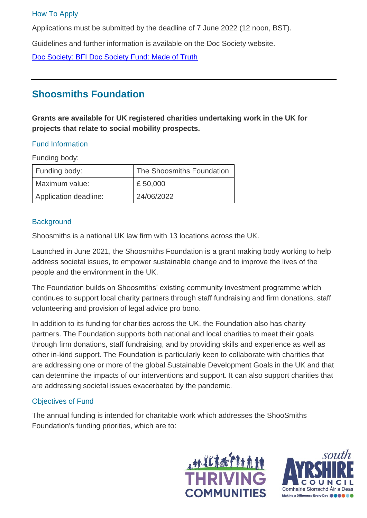#### How To Apply

Applications must be submitted by the deadline of 7 June 2022 (12 noon, BST).

Guidelines and further information is available on the Doc Society website.

[Doc Society: BFI Doc Society Fund: Made of Truth](https://docsociety.org/bfi-doc-shorts/)

# **Shoosmiths Foundation**

**Grants are available for UK registered charities undertaking work in the UK for projects that relate to social mobility prospects.**

#### Fund Information

Funding body:

| Funding body:         | The Shoosmiths Foundation |
|-----------------------|---------------------------|
| Maximum value:        | £50,000                   |
| Application deadline: | 24/06/2022                |

#### **Background**

Shoosmiths is a national UK law firm with 13 locations across the UK.

Launched in June 2021, the Shoosmiths Foundation is a grant making body working to help address societal issues, to empower sustainable change and to improve the lives of the people and the environment in the UK.

The Foundation builds on Shoosmiths' existing community investment programme which continues to support local charity partners through staff fundraising and firm donations, staff volunteering and provision of legal advice pro bono.

In addition to its funding for charities across the UK, the Foundation also has charity partners. The Foundation supports both national and local charities to meet their goals through firm donations, staff fundraising, and by providing skills and experience as well as other in-kind support. The Foundation is particularly keen to collaborate with charities that are addressing one or more of the global Sustainable Development Goals in the UK and that can determine the impacts of our interventions and support. It can also support charities that are addressing societal issues exacerbated by the pandemic.

### Objectives of Fund

The annual funding is intended for charitable work which addresses the ShooSmiths Foundation's funding priorities, which are to:



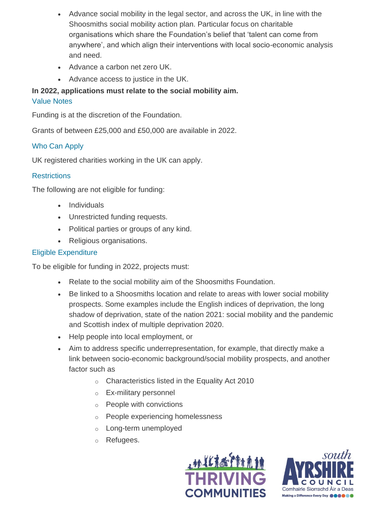- Advance social mobility in the legal sector, and across the UK, in line with the Shoosmiths social mobility action plan. Particular focus on charitable organisations which share the Foundation's belief that 'talent can come from anywhere', and which align their interventions with local socio-economic analysis and need.
- Advance a carbon net zero UK.
- Advance access to justice in the UK.

# **In 2022, applications must relate to the social mobility aim.** Value Notes

Funding is at the discretion of the Foundation.

Grants of between £25,000 and £50,000 are available in 2022.

# Who Can Apply

UK registered charities working in the UK can apply.

# **Restrictions**

The following are not eligible for funding:

- Individuals
- Unrestricted funding requests.
- Political parties or groups of any kind.
- Religious organisations.

# Eligible Expenditure

To be eligible for funding in 2022, projects must:

- Relate to the social mobility aim of the Shoosmiths Foundation.
- Be linked to a Shoosmiths location and relate to areas with lower social mobility prospects. Some examples include the English indices of deprivation, the long shadow of deprivation, state of the nation 2021: social mobility and the pandemic and Scottish index of multiple deprivation 2020.
- Help people into local employment, or
- Aim to address specific underrepresentation, for example, that directly make a link between socio-economic background/social mobility prospects, and another factor such as
	- o Characteristics listed in the Equality Act 2010
	- o Ex-military personnel
	- o People with convictions
	- o People experiencing homelessness
	- o Long-term unemployed
	- o Refugees.



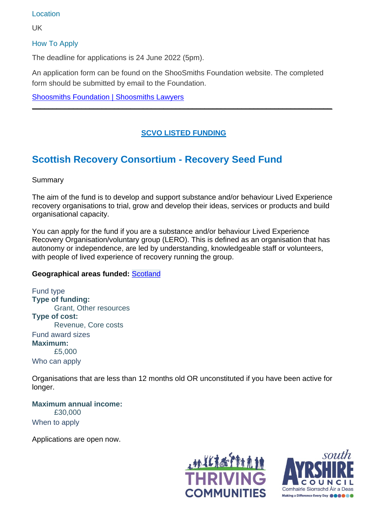Location

UK

#### How To Apply

The deadline for applications is 24 June 2022 (5pm).

An application form can be found on the ShooSmiths Foundation website. The completed form should be submitted by email to the Foundation.

[Shoosmiths Foundation | Shoosmiths Lawyers](https://www.shoosmiths.co.uk/our-responsibility/shoosmiths-foundation)

## **SCVO LISTED FUNDING**

**\_\_\_\_\_\_\_\_\_\_\_\_\_\_\_\_\_\_\_\_\_\_\_\_\_\_\_\_\_\_\_\_\_\_\_\_\_\_\_\_\_\_\_\_\_\_\_\_\_\_\_\_\_\_\_\_\_\_\_\_\_\_\_\_\_\_\_\_\_\_\_\_\_**

# **Scottish Recovery Consortium - Recovery Seed Fund**

**Summary** 

The aim of the fund is to develop and support substance and/or behaviour Lived Experience recovery organisations to trial, grow and develop their ideas, services or products and build organisational capacity.

You can apply for the fund if you are a substance and/or behaviour Lived Experience Recovery Organisation/voluntary group (LERO). This is defined as an organisation that has autonomy or independence, are led by understanding, knowledgeable staff or volunteers, with people of lived experience of recovery running the group.

#### **Geographical areas funded:** [Scotland](https://funding.scot/search?geographical_areas_funded=scotland)

Fund type **Type of funding:** Grant, Other resources **Type of cost:** Revenue, Core costs Fund award sizes **Maximum:** £5,000 Who can apply

Organisations that are less than 12 months old OR unconstituted if you have been active for longer.

**Maximum annual income:** £30,000 When to apply

Applications are open now.



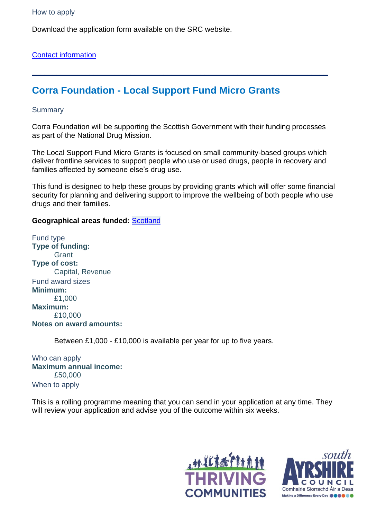Download the application form available on the SRC website.

[Contact information](https://funding.scot/funds/a0R3z00000MgdRPEAZ/scottish-recovery-consortium-recovery-seed-fund?page=1#tab:fund_contact)

# **Corra Foundation - Local Support Fund Micro Grants**

#### **Summary**

Corra Foundation will be supporting the Scottish Government with their funding processes as part of the National Drug Mission.

**\_\_\_\_\_\_\_\_\_\_\_\_\_\_\_\_\_\_\_\_\_\_\_\_\_\_\_\_\_\_\_\_\_\_\_\_\_\_\_\_\_\_\_\_\_\_\_\_\_\_\_\_\_\_\_\_\_\_\_\_\_\_\_\_\_\_\_\_\_\_\_\_**

The Local Support Fund Micro Grants is focused on small community-based groups which deliver frontline services to support people who use or used drugs, people in recovery and families affected by someone else's drug use.

This fund is designed to help these groups by providing grants which will offer some financial security for planning and delivering support to improve the wellbeing of both people who use drugs and their families.

#### **Geographical areas funded:** [Scotland](https://funding.scot/search?geographical_areas_funded=scotland)

Fund type **Type of funding: Grant Type of cost:** Capital, Revenue Fund award sizes **Minimum:** £1,000 **Maximum:** £10,000 **Notes on award amounts:**

Between £1,000 - £10,000 is available per year for up to five years.

Who can apply **Maximum annual income:** £50,000 When to apply

This is a rolling programme meaning that you can send in your application at any time. They will review your application and advise you of the outcome within six weeks.



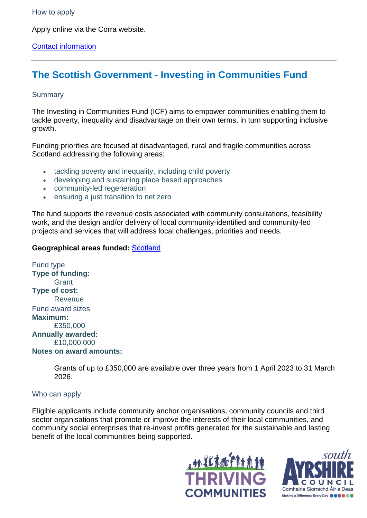#### How to apply

Apply online via the Corra website.

#### [Contact information](https://funding.scot/funds/a0R3z00000Lry3dEAB/corra-foundation-local-support-fund-micro-grants?page=1#tab:fund_contact)

# **The Scottish Government - Investing in Communities Fund**

#### **Summary**

The Investing in Communities Fund (ICF) aims to empower communities enabling them to tackle poverty, inequality and disadvantage on their own terms, in turn supporting inclusive growth.

Funding priorities are focused at disadvantaged, rural and fragile communities across Scotland addressing the following areas:

- tackling poverty and inequality, including child poverty
- developing and sustaining place based approaches
- community-led regeneration
- ensuring a just transition to net zero

The fund supports the revenue costs associated with community consultations, feasibility work, and the design and/or delivery of local community-identified and community-led projects and services that will address local challenges, priorities and needs.

#### **Geographical areas funded:** [Scotland](https://funding.scot/search?geographical_areas_funded=scotland)

Fund type **Type of funding: Grant Type of cost:** Revenue Fund award sizes **Maximum:** £350,000 **Annually awarded:** £10,000,000 **Notes on award amounts:**

> Grants of up to £350,000 are available over three years from 1 April 2023 to 31 March 2026.

#### Who can apply

Eligible applicants include community anchor organisations, community councils and third sector organisations that promote or improve the interests of their local communities, and community social enterprises that re-invest profits generated for the sustainable and lasting benefit of the local communities being supported.



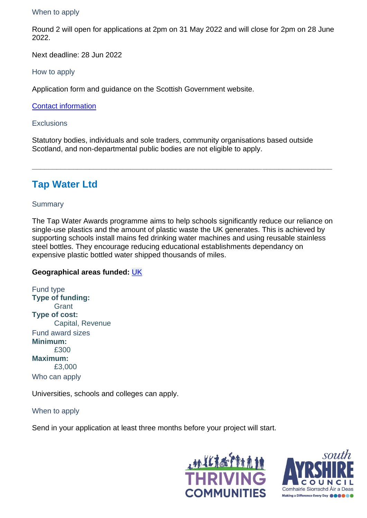#### When to apply

Round 2 will open for applications at 2pm on 31 May 2022 and will close for 2pm on 28 June 2022.

Next deadline: 28 Jun 2022

How to apply

Application form and guidance on the Scottish Government website.

**[Contact information](https://funding.scot/funds/a0R0N00000UOGIFUA5/the-scottish-government-investing-in-communities-fund?page=1#tab:fund_contact)** 

**Exclusions** 

Statutory bodies, individuals and sole traders, community organisations based outside Scotland, and non-departmental public bodies are not eligible to apply.

**\_\_\_\_\_\_\_\_\_\_\_\_\_\_\_\_\_\_\_\_\_\_\_\_\_\_\_\_\_\_\_\_\_\_\_\_\_\_\_\_\_\_\_\_\_\_\_\_\_\_\_\_\_\_\_\_\_\_\_\_\_\_\_\_\_\_\_\_\_\_\_\_\_**

# **Tap Water Ltd**

#### **Summary**

The Tap Water Awards programme aims to help schools significantly reduce our reliance on single-use plastics and the amount of plastic waste the UK generates. This is achieved by supporting schools install mains fed drinking water machines and using reusable stainless steel bottles. They encourage reducing educational establishments dependancy on expensive plastic bottled water shipped thousands of miles.

### **Geographical areas funded:** [UK](https://funding.scot/search?geographical_areas_funded=uk)

Fund type **Type of funding: Grant Type of cost:** Capital, Revenue Fund award sizes **Minimum:** £300 **Maximum:** £3,000 Who can apply

Universities, schools and colleges can apply.

When to apply

Send in your application at least three months before your project will start.



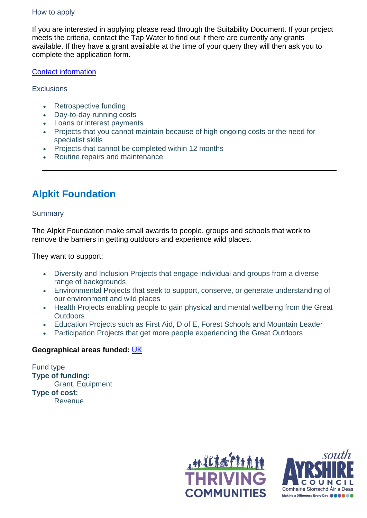#### How to apply

If you are interested in applying please read through the Suitability Document. If your project meets the criteria, contact the Tap Water to find out if there are currently any grants available. If they have a grant available at the time of your query they will then ask you to complete the application form.

#### [Contact information](https://funding.scot/funds/a0Rb0000000Ng8oEAC/tap-water-ltd?page=2#tab:fund_contact)

#### **Exclusions**

- Retrospective funding
- Day-to-day running costs
- Loans or interest payments
- Projects that you cannot maintain because of high ongoing costs or the need for specialist skills
- Projects that cannot be completed within 12 months
- Routine repairs and maintenance

# **Alpkit Foundation**

### **Summary**

The Alpkit Foundation make small awards to people, groups and schools that work to remove the barriers in getting outdoors and experience wild places.

They want to support:

- Diversity and Inclusion Projects that engage individual and groups from a diverse range of backgrounds
- Environmental Projects that seek to support, conserve, or generate understanding of our environment and wild places
- Health Projects enabling people to gain physical and mental wellbeing from the Great **Outdoors**
- Education Projects such as First Aid, D of E, Forest Schools and Mountain Leader
- Participation Projects that get more people experiencing the Great Outdoors

### **Geographical areas funded:** [UK](https://funding.scot/search?geographical_areas_funded=uk)

Fund type **Type of funding:** Grant, Equipment **Type of cost:** Revenue



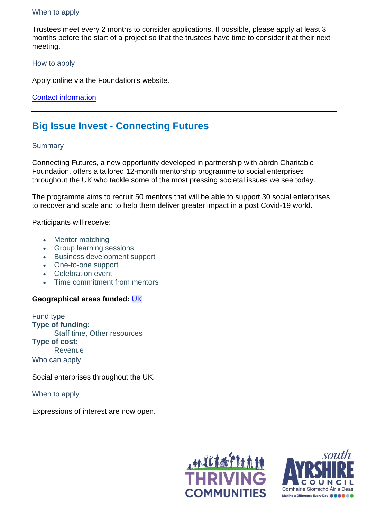#### When to apply

Trustees meet every 2 months to consider applications. If possible, please apply at least 3 months before the start of a project so that the trustees have time to consider it at their next meeting.

How to apply

Apply online via the Foundation's website.

#### [Contact information](https://funding.scot/funds/a0R3z00000JJFcNEAX/alpkit-foundation?page=2#tab:fund_contact)

# **Big Issue Invest - Connecting Futures**

#### **Summary**

Connecting Futures, a new opportunity developed in partnership with abrdn Charitable Foundation, offers a tailored 12-month mentorship programme to social enterprises throughout the UK who tackle some of the most pressing societal issues we see today.

The programme aims to recruit 50 mentors that will be able to support 30 social enterprises to recover and scale and to help them deliver greater impact in a post Covid-19 world.

Participants will receive:

- Mentor matching
- Group learning sessions
- Business development support
- One-to-one support
- Celebration event
- Time commitment from mentors

#### **Geographical areas funded:** [UK](https://funding.scot/search?geographical_areas_funded=uk)

Fund type **Type of funding:** Staff time, Other resources **Type of cost:** Revenue Who can apply

Social enterprises throughout the UK.

When to apply

Expressions of interest are now open.



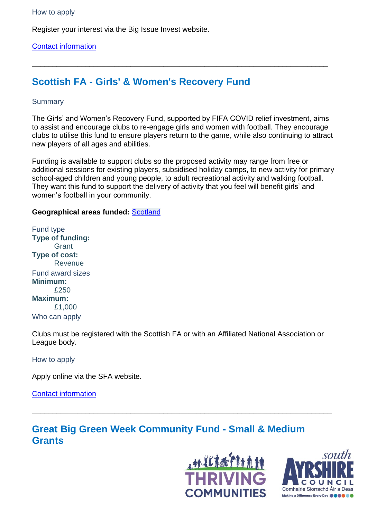#### How to apply

Register your interest via the Big Issue Invest website.

#### [Contact information](https://funding.scot/funds/a0R3z00000OC2LpEAL/big-issue-invest-connecting-futures?page=3#tab:fund_contact)

# **Scottish FA - Girls' & Women's Recovery Fund**

#### **Summary**

The Girls' and Women's Recovery Fund, supported by FIFA COVID relief investment, aims to assist and encourage clubs to re-engage girls and women with football. They encourage clubs to utilise this fund to ensure players return to the game, while also continuing to attract new players of all ages and abilities.

**\_\_\_\_\_\_\_\_\_\_\_\_\_\_\_\_\_\_\_\_\_\_\_\_\_\_\_\_\_\_\_\_\_\_\_\_\_\_\_\_\_\_\_\_\_\_\_\_\_\_\_\_\_\_\_\_\_\_\_\_\_\_\_\_\_\_\_\_\_\_\_\_**

Funding is available to support clubs so the proposed activity may range from free or additional sessions for existing players, subsidised holiday camps, to new activity for primary school-aged children and young people, to adult recreational activity and walking football. They want this fund to support the delivery of activity that you feel will benefit girls' and women's football in your community.

#### **Geographical areas funded:** [Scotland](https://funding.scot/search?geographical_areas_funded=scotland)

Fund type **Type of funding: Grant Type of cost: Revenue** Fund award sizes **Minimum:** £250 **Maximum:** £1,000 Who can apply

Clubs must be registered with the Scottish FA or with an Affiliated National Association or League body.

**\_\_\_\_\_\_\_\_\_\_\_\_\_\_\_\_\_\_\_\_\_\_\_\_\_\_\_\_\_\_\_\_\_\_\_\_\_\_\_\_\_\_\_\_\_\_\_\_\_\_\_\_\_\_\_\_\_\_\_\_\_\_\_\_\_\_\_\_\_\_\_\_\_**

How to apply

Apply online via the SFA website.

[Contact information](https://funding.scot/funds/a0R3z00000LrnTPEAZ/scottish-fa-girls-women-s-recovery-fund?page=3#tab:fund_contact)

# **Great Big Green Week Community Fund - Small & Medium Grants**



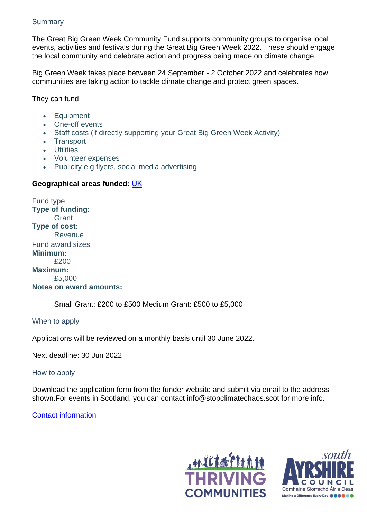#### **Summary**

The Great Big Green Week Community Fund supports community groups to organise local events, activities and festivals during the Great Big Green Week 2022. These should engage the local community and celebrate action and progress being made on climate change.

Big Green Week takes place between 24 September - 2 October 2022 and celebrates how communities are taking action to tackle climate change and protect green spaces.

They can fund:

- Equipment
- **One-off events**
- Staff costs (if directly supporting your Great Big Green Week Activity)
- Transport
- Utilities
- Volunteer expenses
- Publicity e.g flyers, social media advertising

#### **Geographical areas funded:** [UK](https://funding.scot/search?geographical_areas_funded=uk)

Fund type **Type of funding: Grant Type of cost: Revenue** Fund award sizes **Minimum:** £200 **Maximum:** £5,000 **Notes on award amounts:**

Small Grant: £200 to £500 Medium Grant: £500 to £5,000

When to apply

Applications will be reviewed on a monthly basis until 30 June 2022.

Next deadline: 30 Jun 2022

How to apply

Download the application form from the funder website and submit via email to the address shown.For events in Scotland, you can contact info@stopclimatechaos.scot for more info.

[Contact information](https://funding.scot/funds/a0R3z00000OOiOQEA1/great-big-green-week-community-fund-small-medium-grants?page=3#tab:fund_contact)



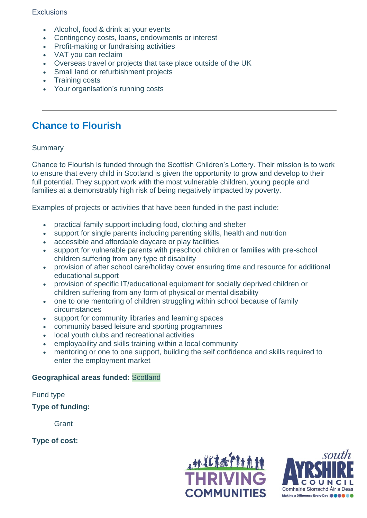#### **Exclusions**

- Alcohol, food & drink at your events
- Contingency costs, loans, endowments or interest
- Profit-making or fundraising activities
- VAT you can reclaim
- Overseas travel or projects that take place outside of the UK
- Small land or refurbishment projects
- Training costs
- Your organisation's running costs

# **Chance to Flourish**

#### **Summary**

Chance to Flourish is funded through the Scottish Children's Lottery. Their mission is to work to ensure that every child in Scotland is given the opportunity to grow and develop to their full potential. They support work with the most vulnerable children, young people and families at a demonstrably high risk of being negatively impacted by poverty.

Examples of projects or activities that have been funded in the past include:

- practical family support including food, clothing and shelter
- support for single parents including parenting skills, health and nutrition
- accessible and affordable daycare or play facilities
- support for vulnerable parents with preschool children or families with pre-school children suffering from any type of disability
- provision of after school care/holiday cover ensuring time and resource for additional educational support
- provision of specific IT/educational equipment for socially deprived children or children suffering from any form of physical or mental disability
- one to one mentoring of children struggling within school because of family circumstances
- support for community libraries and learning spaces
- community based leisure and sporting programmes
- local youth clubs and recreational activities
- employability and skills training within a local community
- mentoring or one to one support, building the self confidence and skills required to enter the employment market

#### **Geographical areas funded:** [Scotland](https://funding.scot/search?geographical_areas_funded=scotland)

Fund type

#### **Type of funding:**

**Grant** 

**Type of cost:**



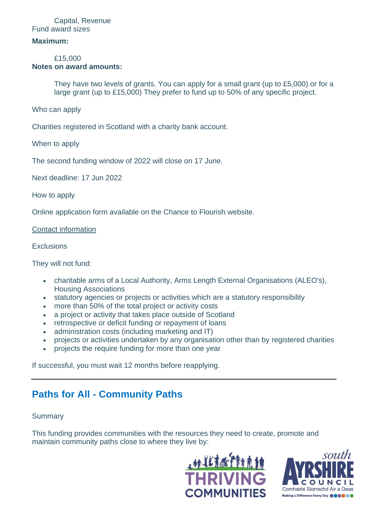#### Capital, Revenue Fund award sizes

#### **Maximum:**

£15,000 **Notes on award amounts:**

> They have two levels of grants. You can apply for a small grant (up to £5,000) or for a large grant (up to £15,000) They prefer to fund up to 50% of any specific project.

Who can apply

Charities registered in Scotland with a charity bank account.

When to apply

The second funding window of 2022 will close on 17 June.

Next deadline: 17 Jun 2022

How to apply

Online application form available on the Chance to Flourish website.

[Contact information](https://funding.scot/funds/a0Rb000000J2vrGEAR/chance-to-flourish?page=1#tab:fund_contact)

**Exclusions** 

They will not fund:

- charitable arms of a Local Authority, Arms Length External Organisations (ALEO's), Housing Associations
- statutory agencies or projects or activities which are a statutory responsibility
- more than 50% of the total project or activity costs
- a project or activity that takes place outside of Scotland
- retrospective or deficit funding or repayment of loans
- administration costs (including marketing and IT)
- projects or activities undertaken by any organisation other than by registered charities
- projects the require funding for more than one year

If successful, you must wait 12 months before reapplying.

# **Paths for All - Community Paths**

#### Summary

This funding provides communities with the resources they need to create, promote and maintain community paths close to where they live by:



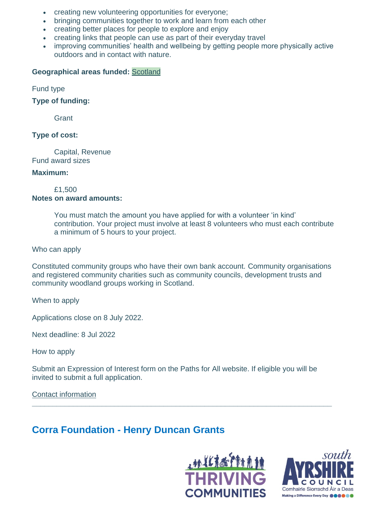- creating new volunteering opportunities for everyone;
- bringing communities together to work and learn from each other
- creating better places for people to explore and enjoy
- creating links that people can use as part of their everyday travel
- improving communities' health and wellbeing by getting people more physically active outdoors and in contact with nature.

#### **Geographical areas funded:** [Scotland](https://funding.scot/search?geographical_areas_funded=scotland)

Fund type

**Type of funding:**

**Grant** 

#### **Type of cost:**

Capital, Revenue Fund award sizes

#### **Maximum:**

£1,500 **Notes on award amounts:**

> You must match the amount you have applied for with a volunteer 'in kind' contribution. Your project must involve at least 8 volunteers who must each contribute a minimum of 5 hours to your project.

#### Who can apply

Constituted community groups who have their own bank account. Community organisations and registered community charities such as community councils, development trusts and community woodland groups working in Scotland.

When to apply

Applications close on 8 July 2022.

Next deadline: 8 Jul 2022

How to apply

Submit an Expression of Interest form on the Paths for All website. If eligible you will be invited to submit a full application.

**\_\_\_\_\_\_\_\_\_\_\_\_\_\_\_\_\_\_\_\_\_\_\_\_\_\_\_\_\_\_\_\_\_\_\_\_\_\_\_\_\_\_\_\_\_\_\_\_\_\_\_\_\_\_\_\_\_\_\_\_\_\_\_\_\_\_\_\_\_\_\_\_\_**

[Contact information](https://funding.scot/funds/a0R0N00000LfhsyUAB/paths-for-all-community-paths?page=1#tab:fund_contact)

# **Corra Foundation - Henry Duncan Grants**



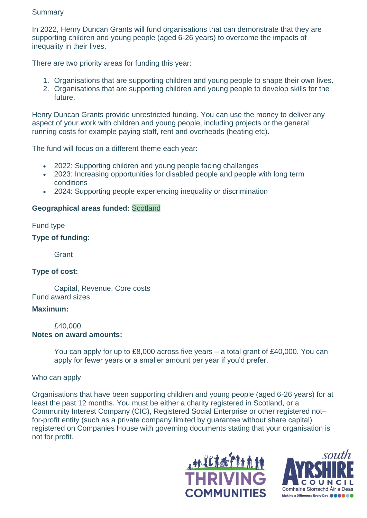#### **Summary**

In 2022, Henry Duncan Grants will fund organisations that can demonstrate that they are supporting children and young people (aged 6-26 years) to overcome the impacts of inequality in their lives.

There are two priority areas for funding this year:

- 1. Organisations that are supporting children and young people to shape their own lives.
- 2. Organisations that are supporting children and young people to develop skills for the future.

Henry Duncan Grants provide unrestricted funding. You can use the money to deliver any aspect of your work with children and young people, including projects or the general running costs for example paying staff, rent and overheads (heating etc).

The fund will focus on a different theme each year:

- 2022: Supporting children and young people facing challenges
- 2023: Increasing opportunities for disabled people and people with long term conditions
- 2024: Supporting people experiencing inequality or discrimination

#### **Geographical areas funded:** [Scotland](https://funding.scot/search?geographical_areas_funded=scotland)

Fund type

#### **Type of funding:**

Grant

#### **Type of cost:**

Capital, Revenue, Core costs Fund award sizes

#### **Maximum:**

£40,000

#### **Notes on award amounts:**

You can apply for up to £8,000 across five years – a total grant of £40,000. You can apply for fewer years or a smaller amount per year if you'd prefer.

#### Who can apply

Organisations that have been supporting children and young people (aged 6-26 years) for at least the past 12 months. You must be either a charity registered in Scotland, or a Community Interest Company (CIC), Registered Social Enterprise or other registered not– for-profit entity (such as a private company limited by guarantee without share capital) registered on Companies House with governing documents stating that your organisation is not for profit.



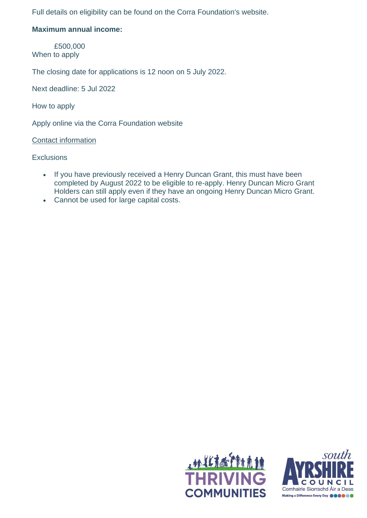Full details on eligibility can be found on the Corra Foundation's website.

#### **Maximum annual income:**

£500,000 When to apply

The closing date for applications is 12 noon on 5 July 2022.

Next deadline: 5 Jul 2022

How to apply

Apply online via the Corra Foundation website

[Contact information](https://funding.scot/funds/a0Rb0000000NgAeEAK/corra-foundation-henry-duncan-grants?page=1#tab:fund_contact)

**Exclusions** 

- If you have previously received a Henry Duncan Grant, this must have been completed by August 2022 to be eligible to re-apply. Henry Duncan Micro Grant Holders can still apply even if they have an ongoing Henry Duncan Micro Grant.
- Cannot be used for large capital costs.